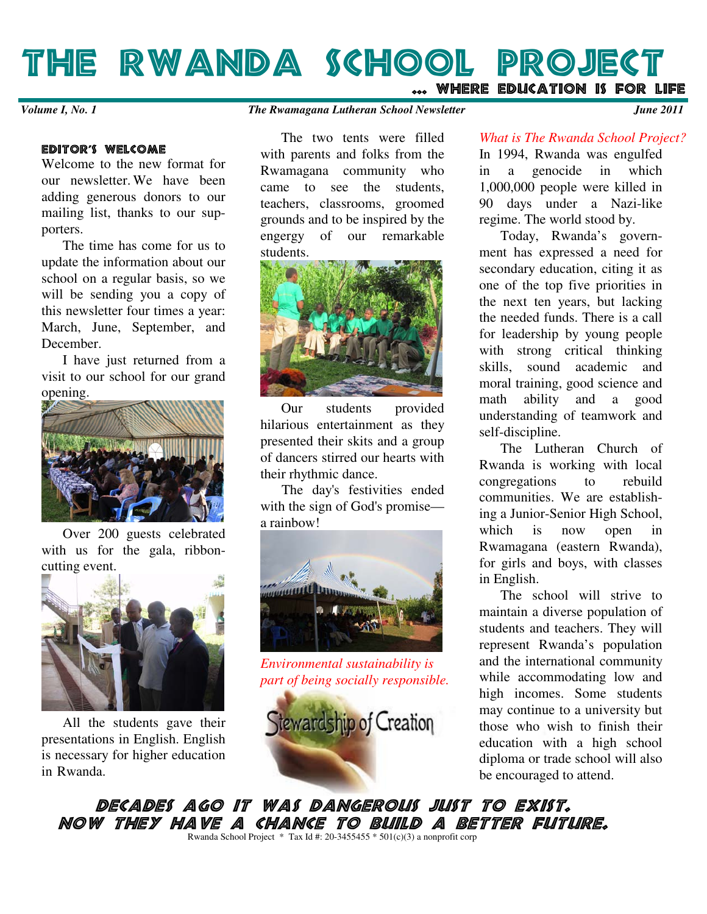THE RWANDA SCHOOL PROJECT ... WHERE EDUCATION IS FOR LIFE

# *Volume I, No. 1 The Rwamagana Lutheran School Newsletter June 2011*

**EDITOR'S WELCOME** 

Welcome to the new format for our newsletter. We have been adding generous donors to our mailing list, thanks to our supporters.

The time has come for us to update the information about our school on a regular basis, so we will be sending you a copy of this newsletter four times a year: March, June, September, and December.

I have just returned from a visit to our school for our grand opening



Over 200 guests celebrated with us for the gala, ribboncutting event.



All the students gave their presentations in English. English is necessary for higher education in Rwanda.

 The two tents were filled with parents and folks from the Rwamagana community who came to see the students, teachers, classrooms, groomed grounds and to be inspired by the engergy of our remarkable students.



 Our students provided hilarious entertainment as they presented their skits and a group of dancers stirred our hearts with their rhythmic dance.

The day's festivities ended with the sign of God's promise a rainbow!



*Environmental sustainability is part of being socially responsible.*



*What is The Rwanda School Project?*

In 1994, Rwanda was engulfed in a genocide in which 1,000,000 people were killed in 90 days under a Nazi-like regime. The world stood by.

Today, Rwanda's government has expressed a need for secondary education, citing it as one of the top five priorities in the next ten years, but lacking the needed funds. There is a call for leadership by young people with strong critical thinking skills, sound academic and moral training, good science and math ability and a good understanding of teamwork and self-discipline.

The Lutheran Church of Rwanda is working with local congregations to rebuild communities. We are establishing a Junior-Senior High School, which is now open in Rwamagana (eastern Rwanda), for girls and boys, with classes in English.

The school will strive to maintain a diverse population of students and teachers. They will represent Rwanda's population and the international community while accommodating low and high incomes. Some students may continue to a university but those who wish to finish their education with a high school diploma or trade school will also be encouraged to attend.

DECADES AGO IT WAS DANGEROUS JUST TO EXIST. NOW THEY HAVE A CHANCE TO BUILD A BETTER FUTURE. Rwanda School Project \* Tax Id #: 20-3455455 \* 501(c)(3) a nonprofit corp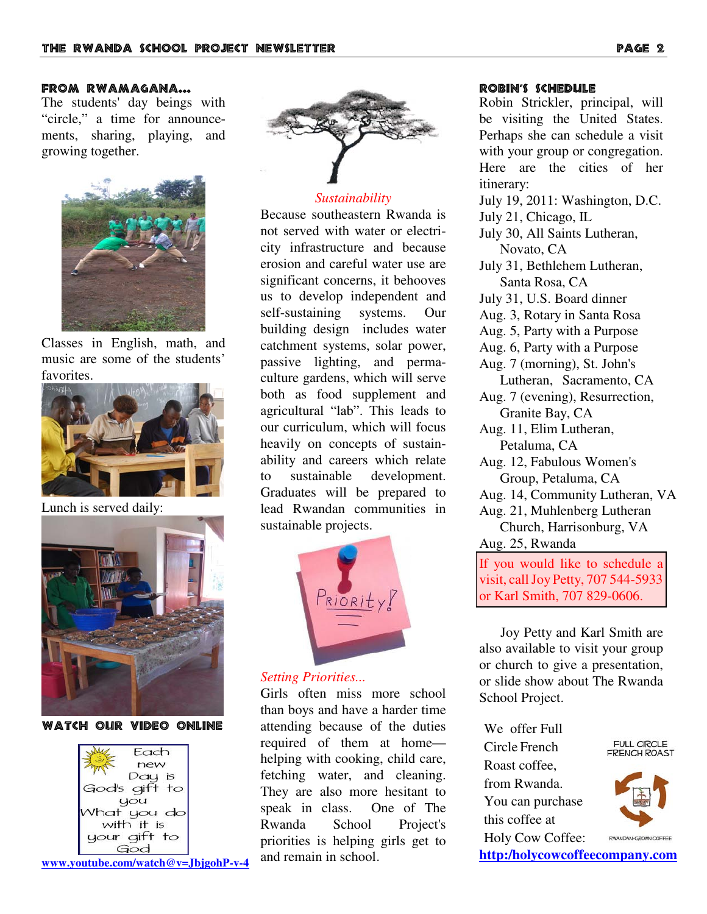### FROM RWAMAGANA...

The students' day beings with "circle," a time for announcements, sharing, playing, and growing together.



Classes in English, math, and music are some of the students' favorites.



Lunch is served daily:



WATCH OUR VIDEO ONLINE





# *Sustainability*

Because southeastern Rwanda is not served with water or electricity infrastructure and because erosion and careful water use are significant concerns, it behooves us to develop independent and self-sustaining systems. Our building design includes water catchment systems, solar power, passive lighting, and permaculture gardens, which will serve both as food supplement and agricultural "lab". This leads to our curriculum, which will focus heavily on concepts of sustainability and careers which relate to sustainable development. Graduates will be prepared to lead Rwandan communities in sustainable projects.



# *Setting Priorities...*

Girls often miss more school than boys and have a harder time attending because of the duties required of them at home helping with cooking, child care, fetching water, and cleaning. They are also more hesitant to speak in class. One of The Rwanda School Project's priorities is helping girls get to and remain in school

#### ROBIN'S SCHEDULE

Robin Strickler, principal, will be visiting the United States. Perhaps she can schedule a visit with your group or congregation. Here are the cities of her itinerary:

July 19, 2011: Washington, D.C.

July 21, Chicago, IL

July 30, All Saints Lutheran, Novato, CA

July 31, Bethlehem Lutheran, Santa Rosa, CA

July 31, U.S. Board dinner

Aug. 3, Rotary in Santa Rosa

Aug. 5, Party with a Purpose

Aug. 6, Party with a Purpose

- Aug. 7 (morning), St. John's Lutheran, Sacramento, CA
- Aug. 7 (evening), Resurrection, Granite Bay, CA

Aug. 11, Elim Lutheran, Petaluma, CA

Aug. 12, Fabulous Women's Group, Petaluma, CA

- Aug. 14, Community Lutheran, VA
- Aug. 21, Muhlenberg Lutheran

 Church, Harrisonburg, VA Aug. 25, Rwanda

If you would like to schedule a visit, call Joy Petty, 707 544-5933 or Karl Smith, 707 829-0606.

Joy Petty and Karl Smith are also available to visit your group or church to give a presentation, or slide show about The Rwanda School Project.

We offer Full Circle French Roast coffee, from Rwanda. You can purchase this coffee at Holy Cow Coffee:





**http:/holycowcoffeecompany.com**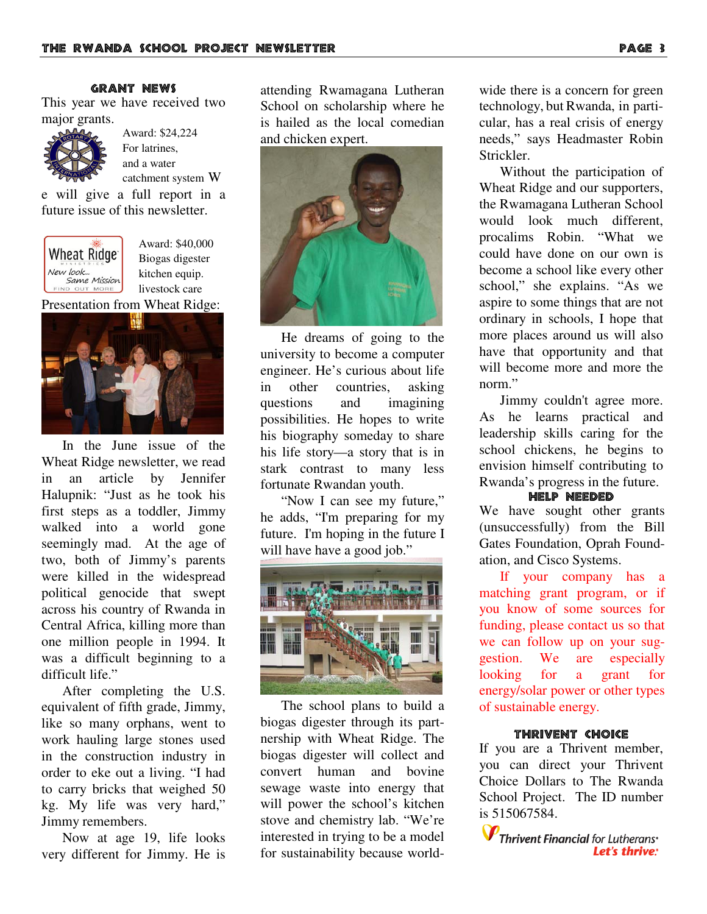# **GRANT NEWS**

This year we have received two major grants.



Award: \$24,224 For latrines, and a water catchment system W

e will give a full report in a future issue of this newsletter.



Award: \$40,000 Biogas digester kitchen equip. livestock care



 In the June issue of the Wheat Ridge newsletter, we read in an article by Jennifer Halupnik: "Just as he took his first steps as a toddler, Jimmy walked into a world gone seemingly mad. At the age of two, both of Jimmy's parents were killed in the widespread political genocide that swept across his country of Rwanda in Central Africa, killing more than one million people in 1994. It was a difficult beginning to a difficult life."

 After completing the U.S. equivalent of fifth grade, Jimmy, like so many orphans, went to work hauling large stones used in the construction industry in order to eke out a living. "I had to carry bricks that weighed 50 kg. My life was very hard," Jimmy remembers.

 Now at age 19, life looks very different for Jimmy. He is attending Rwamagana Lutheran School on scholarship where he is hailed as the local comedian and chicken expert.



 He dreams of going to the university to become a computer engineer. He's curious about life in other countries, asking questions and imagining possibilities. He hopes to write his biography someday to share his life story—a story that is in stark contrast to many less fortunate Rwandan youth.

 "Now I can see my future," he adds, "I'm preparing for my future. I'm hoping in the future I will have have a good job."



 The school plans to build a biogas digester through its partnership with Wheat Ridge. The biogas digester will collect and convert human and bovine sewage waste into energy that will power the school's kitchen stove and chemistry lab. "We're interested in trying to be a model for sustainability because worldwide there is a concern for green technology, but Rwanda, in particular, has a real crisis of energy needs," says Headmaster Robin Strickler.

 Without the participation of Wheat Ridge and our supporters, the Rwamagana Lutheran School would look much different, procalims Robin. "What we could have done on our own is become a school like every other school," she explains. "As we aspire to some things that are not ordinary in schools, I hope that more places around us will also have that opportunity and that will become more and more the norm."

 Jimmy couldn't agree more. As he learns practical and leadership skills caring for the school chickens, he begins to envision himself contributing to Rwanda's progress in the future.

# **HELP NEEDED**

We have sought other grants (unsuccessfully) from the Bill Gates Foundation, Oprah Foundation, and Cisco Systems.

 If your company has a matching grant program, or if you know of some sources for funding, please contact us so that we can follow up on your suggestion. We are especially looking for a grant for energy/solar power or other types of sustainable energy.

#### THRIVENT CHOICE

If you are a Thrivent member, you can direct your Thrivent Choice Dollars to The Rwanda School Project. The ID number is 515067584.

*V* Thrivent Financial for Lutherans<sup>®</sup> Let's thrive: